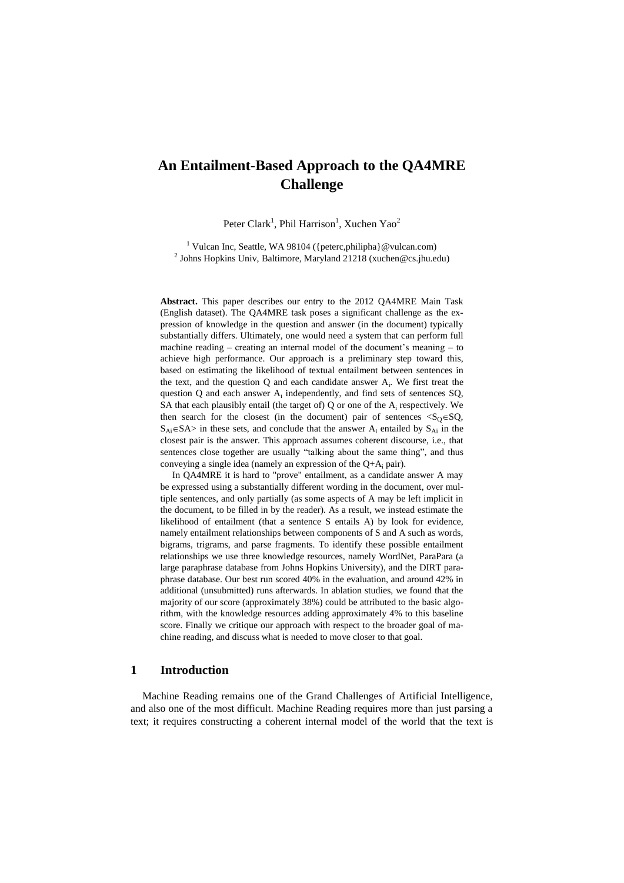# **An Entailment-Based Approach to the QA4MRE Challenge**

Peter Clark<sup>1</sup>, Phil Harrison<sup>1</sup>, Xuchen Yao<sup>2</sup>

<sup>1</sup> Vulcan Inc, Seattle, WA 98104 ({peterc,philipha}@vulcan.com) <sup>2</sup> Johns Hopkins Univ, Baltimore, Maryland 21218 (xuchen@cs.jhu.edu)

**Abstract.** This paper describes our entry to the 2012 QA4MRE Main Task (English dataset). The QA4MRE task poses a significant challenge as the expression of knowledge in the question and answer (in the document) typically substantially differs. Ultimately, one would need a system that can perform full machine reading – creating an internal model of the document's meaning – to achieve high performance. Our approach is a preliminary step toward this, based on estimating the likelihood of textual entailment between sentences in the text, and the question  $Q$  and each candidate answer  $A_i$ . We first treat the question  $Q$  and each answer  $A_i$  independently, and find sets of sentences  $SQ$ , SA that each plausibly entail (the target of)  $Q$  or one of the  $A_i$  respectively. We then search for the closest (in the document) pair of sentences  $\langle S_0 \in SQ$ ,  $S_{Ai} \in SA$  in these sets, and conclude that the answer  $A_i$  entailed by  $S_{Ai}$  in the closest pair is the answer. This approach assumes coherent discourse, i.e., that sentences close together are usually "talking about the same thing", and thus conveying a single idea (namely an expression of the  $Q+A_i$  pair).

In QA4MRE it is hard to "prove" entailment, as a candidate answer A may be expressed using a substantially different wording in the document, over multiple sentences, and only partially (as some aspects of A may be left implicit in the document, to be filled in by the reader). As a result, we instead estimate the likelihood of entailment (that a sentence S entails A) by look for evidence, namely entailment relationships between components of S and A such as words, bigrams, trigrams, and parse fragments. To identify these possible entailment relationships we use three knowledge resources, namely WordNet, ParaPara (a large paraphrase database from Johns Hopkins University), and the DIRT paraphrase database. Our best run scored 40% in the evaluation, and around 42% in additional (unsubmitted) runs afterwards. In ablation studies, we found that the majority of our score (approximately 38%) could be attributed to the basic algorithm, with the knowledge resources adding approximately 4% to this baseline score. Finally we critique our approach with respect to the broader goal of machine reading, and discuss what is needed to move closer to that goal.

## **1 Introduction**

Machine Reading remains one of the Grand Challenges of Artificial Intelligence, and also one of the most difficult. Machine Reading requires more than just parsing a text; it requires constructing a coherent internal model of the world that the text is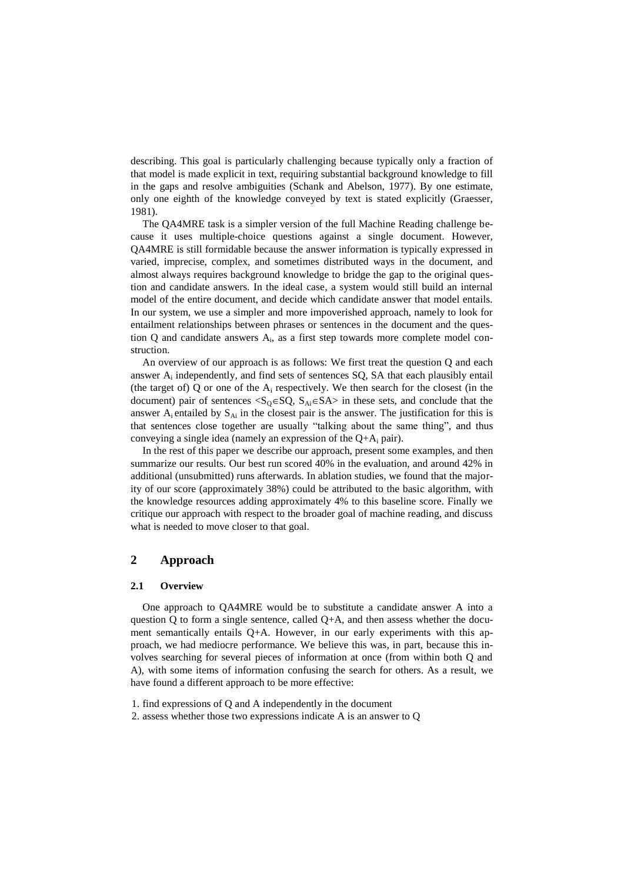describing. This goal is particularly challenging because typically only a fraction of that model is made explicit in text, requiring substantial background knowledge to fill in the gaps and resolve ambiguities (Schank and Abelson, 1977). By one estimate, only one eighth of the knowledge conveyed by text is stated explicitly (Graesser, 1981).

The QA4MRE task is a simpler version of the full Machine Reading challenge because it uses multiple-choice questions against a single document. However, QA4MRE is still formidable because the answer information is typically expressed in varied, imprecise, complex, and sometimes distributed ways in the document, and almost always requires background knowledge to bridge the gap to the original question and candidate answers. In the ideal case, a system would still build an internal model of the entire document, and decide which candidate answer that model entails. In our system, we use a simpler and more impoverished approach, namely to look for entailment relationships between phrases or sentences in the document and the question Q and candidate answers A<sub>i</sub>, as a first step towards more complete model construction.

An overview of our approach is as follows: We first treat the question Q and each answer  $A_i$  independently, and find sets of sentences  $SQ$ ,  $SA$  that each plausibly entail (the target of)  $Q$  or one of the  $A_i$  respectively. We then search for the closest (in the document) pair of sentences  $\langle S_0 \in SQ$ ,  $S_{Ai} \in S A \rangle$  in these sets, and conclude that the answer  $A_i$  entailed by  $S_{Ai}$  in the closest pair is the answer. The justification for this is that sentences close together are usually "talking about the same thing", and thus conveying a single idea (namely an expression of the  $Q+A_i$  pair).

In the rest of this paper we describe our approach, present some examples, and then summarize our results. Our best run scored 40% in the evaluation, and around 42% in additional (unsubmitted) runs afterwards. In ablation studies, we found that the majority of our score (approximately 38%) could be attributed to the basic algorithm, with the knowledge resources adding approximately 4% to this baseline score. Finally we critique our approach with respect to the broader goal of machine reading, and discuss what is needed to move closer to that goal.

# **2 Approach**

### **2.1 Overview**

One approach to QA4MRE would be to substitute a candidate answer A into a question Q to form a single sentence, called  $Q+A$ , and then assess whether the document semantically entails  $Q+A$ . However, in our early experiments with this approach, we had mediocre performance. We believe this was, in part, because this involves searching for several pieces of information at once (from within both Q and A), with some items of information confusing the search for others. As a result, we have found a different approach to be more effective:

- 1. find expressions of Q and A independently in the document
- 2. assess whether those two expressions indicate A is an answer to Q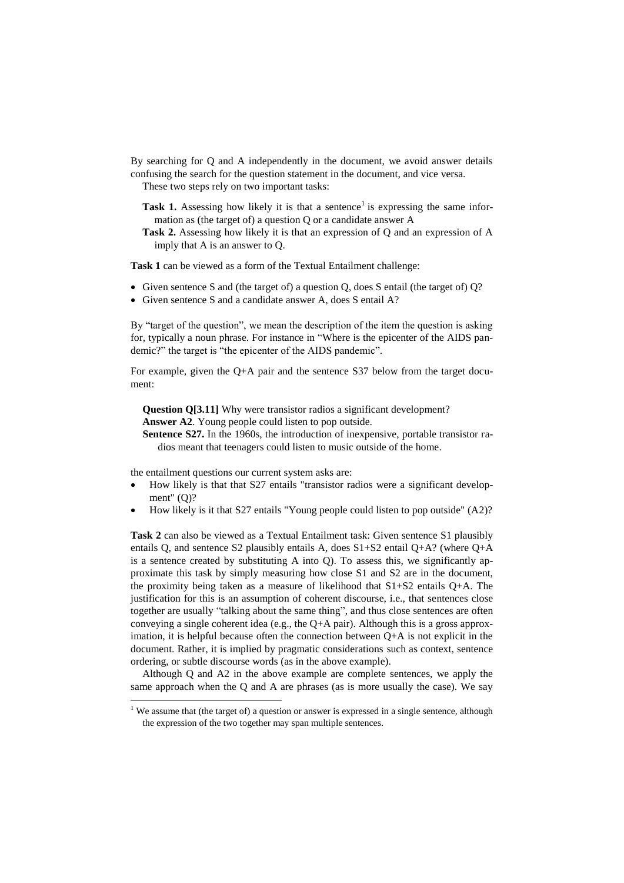By searching for Q and A independently in the document, we avoid answer details confusing the search for the question statement in the document, and vice versa.

These two steps rely on two important tasks:

- Task 1. Assessing how likely it is that a sentence<sup>1</sup> is expressing the same information as (the target of) a question Q or a candidate answer A
- **Task 2.** Assessing how likely it is that an expression of Q and an expression of A imply that A is an answer to Q.

**Task 1** can be viewed as a form of the Textual Entailment challenge:

- Given sentence S and (the target of) a question Q, does S entail (the target of) Q?
- Given sentence S and a candidate answer A, does S entail A?

By "target of the question", we mean the description of the item the question is asking for, typically a noun phrase. For instance in "Where is the epicenter of the AIDS pandemic?" the target is "the epicenter of the AIDS pandemic".

For example, given the Q+A pair and the sentence S37 below from the target document:

**Question Q[3.11]** Why were transistor radios a significant development? **Answer A2**. Young people could listen to pop outside.

**Sentence S27.** In the 1960s, the introduction of inexpensive, portable transistor radios meant that teenagers could listen to music outside of the home.

the entailment questions our current system asks are:

 $\overline{\phantom{a}}$ 

- How likely is that that S27 entails "transistor radios were a significant development" (O)?
- How likely is it that S27 entails "Young people could listen to pop outside" (A2)?

**Task 2** can also be viewed as a Textual Entailment task: Given sentence S1 plausibly entails Q, and sentence S2 plausibly entails A, does  $S1+S2$  entail  $O+A$ ? (where  $O+A$ is a sentence created by substituting A into Q). To assess this, we significantly approximate this task by simply measuring how close S1 and S2 are in the document, the proximity being taken as a measure of likelihood that S1+S2 entails Q+A. The justification for this is an assumption of coherent discourse, i.e., that sentences close together are usually "talking about the same thing", and thus close sentences are often conveying a single coherent idea (e.g., the Q+A pair). Although this is a gross approximation, it is helpful because often the connection between Q+A is not explicit in the document. Rather, it is implied by pragmatic considerations such as context, sentence ordering, or subtle discourse words (as in the above example).

Although Q and A2 in the above example are complete sentences, we apply the same approach when the Q and A are phrases (as is more usually the case). We say

 $1$  We assume that (the target of) a question or answer is expressed in a single sentence, although the expression of the two together may span multiple sentences.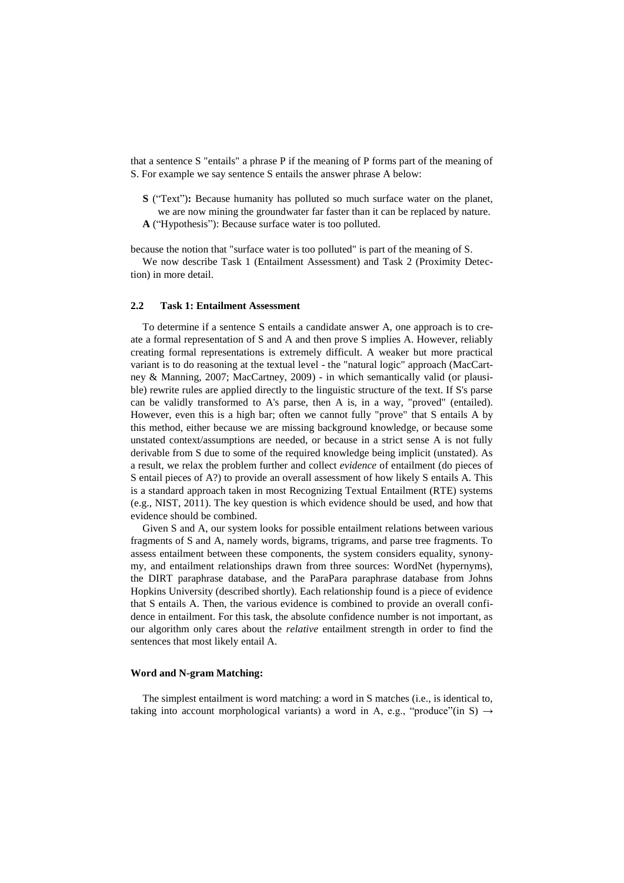that a sentence S "entails" a phrase P if the meaning of P forms part of the meaning of S. For example we say sentence S entails the answer phrase A below:

**S** ("Text")**:** Because humanity has polluted so much surface water on the planet, we are now mining the groundwater far faster than it can be replaced by nature.

**A** ("Hypothesis"): Because surface water is too polluted.

because the notion that "surface water is too polluted" is part of the meaning of S.

We now describe Task 1 (Entailment Assessment) and Task 2 (Proximity Detection) in more detail.

### **2.2 Task 1: Entailment Assessment**

To determine if a sentence S entails a candidate answer A, one approach is to create a formal representation of S and A and then prove S implies A. However, reliably creating formal representations is extremely difficult. A weaker but more practical variant is to do reasoning at the textual level - the "natural logic" approach (MacCartney & Manning, 2007; MacCartney, 2009) - in which semantically valid (or plausible) rewrite rules are applied directly to the linguistic structure of the text. If S's parse can be validly transformed to A's parse, then A is, in a way, "proved" (entailed). However, even this is a high bar; often we cannot fully "prove" that S entails A by this method, either because we are missing background knowledge, or because some unstated context/assumptions are needed, or because in a strict sense A is not fully derivable from S due to some of the required knowledge being implicit (unstated). As a result, we relax the problem further and collect *evidence* of entailment (do pieces of S entail pieces of A?) to provide an overall assessment of how likely S entails A. This is a standard approach taken in most Recognizing Textual Entailment (RTE) systems (e.g., NIST, 2011). The key question is which evidence should be used, and how that evidence should be combined.

Given S and A, our system looks for possible entailment relations between various fragments of S and A, namely words, bigrams, trigrams, and parse tree fragments. To assess entailment between these components, the system considers equality, synonymy, and entailment relationships drawn from three sources: WordNet (hypernyms), the DIRT paraphrase database, and the ParaPara paraphrase database from Johns Hopkins University (described shortly). Each relationship found is a piece of evidence that S entails A. Then, the various evidence is combined to provide an overall confidence in entailment. For this task, the absolute confidence number is not important, as our algorithm only cares about the *relative* entailment strength in order to find the sentences that most likely entail A.

#### **Word and N-gram Matching:**

The simplest entailment is word matching: a word in S matches (i.e., is identical to, taking into account morphological variants) a word in A, e.g., "produce"(in S)  $\rightarrow$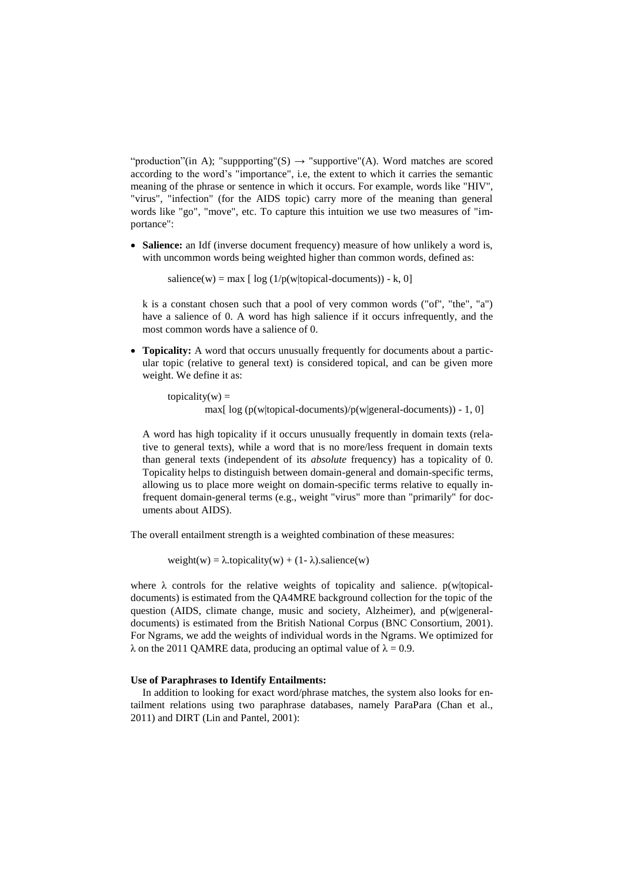"production"(in A); "suppporting"(S)  $\rightarrow$  "supportive"(A). Word matches are scored according to the word's "importance", i.e, the extent to which it carries the semantic meaning of the phrase or sentence in which it occurs. For example, words like "HIV", "virus", "infection" (for the AIDS topic) carry more of the meaning than general words like "go", "move", etc. To capture this intuition we use two measures of "importance":

 **Salience:** an Idf (inverse document frequency) measure of how unlikely a word is, with uncommon words being weighted higher than common words, defined as:

salience(w) = max [  $log(1/p(w|topical-documents)) - k, 0$ ]

k is a constant chosen such that a pool of very common words ("of", "the", "a") have a salience of 0. A word has high salience if it occurs infrequently, and the most common words have a salience of 0.

 **Topicality:** A word that occurs unusually frequently for documents about a particular topic (relative to general text) is considered topical, and can be given more weight. We define it as:

topicality( $w$ ) = max[ $log (p(w|topical-documents)/p(w|general-documents)) - 1, 0$ ]

A word has high topicality if it occurs unusually frequently in domain texts (relative to general texts), while a word that is no more/less frequent in domain texts than general texts (independent of its *absolute* frequency) has a topicality of 0. Topicality helps to distinguish between domain-general and domain-specific terms, allowing us to place more weight on domain-specific terms relative to equally infrequent domain-general terms (e.g., weight "virus" more than "primarily" for documents about AIDS).

The overall entailment strength is a weighted combination of these measures:

weight(w) =  $\lambda$ .topicality(w) + (1- $\lambda$ ).salience(w)

where  $\lambda$  controls for the relative weights of topicality and salience. p(w|topicaldocuments) is estimated from the QA4MRE background collection for the topic of the question (AIDS, climate change, music and society, Alzheimer), and p(w|generaldocuments) is estimated from the British National Corpus (BNC Consortium, 2001). For Ngrams, we add the weights of individual words in the Ngrams. We optimized for  $\lambda$  on the 2011 QAMRE data, producing an optimal value of  $\lambda = 0.9$ .

#### **Use of Paraphrases to Identify Entailments:**

In addition to looking for exact word/phrase matches, the system also looks for entailment relations using two paraphrase databases, namely ParaPara (Chan et al., 2011) and DIRT (Lin and Pantel, 2001):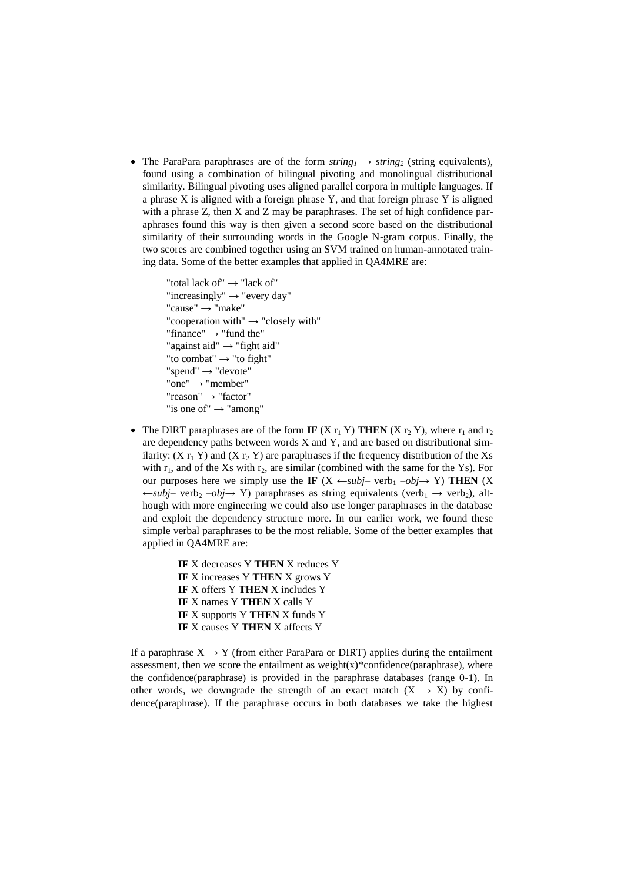• The ParaPara paraphrases are of the form  $string<sub>1</sub> \rightarrow string<sub>2</sub>$  (string equivalents), found using a combination of bilingual pivoting and monolingual distributional similarity. Bilingual pivoting uses aligned parallel corpora in multiple languages. If a phrase X is aligned with a foreign phrase Y, and that foreign phrase Y is aligned with a phrase Z, then X and Z may be paraphrases. The set of high confidence paraphrases found this way is then given a second score based on the distributional similarity of their surrounding words in the Google N-gram corpus. Finally, the two scores are combined together using an SVM trained on human-annotated training data. Some of the better examples that applied in QA4MRE are:

```
"total lack of" → "lack of"
"increasingly" \rightarrow "every day"
"cause" → "make"
"cooperation with" \rightarrow "closely with"
"finance" → "fund the"
"against aid" → "fight aid"
"to combat" \rightarrow "to fight"
"spend" → "devote"
"one" → "member"
"reason" → "factor"
"is one of" \rightarrow "among"
```
- The DIRT paraphrases are of the form **IF**  $(X r_1 Y)$  **THEN**  $(X r_2 Y)$ , where  $r_1$  and  $r_2$ are dependency paths between words  $X$  and  $Y$ , and are based on distributional similarity:  $(X r_1 Y)$  and  $(X r_2 Y)$  are paraphrases if the frequency distribution of the Xs with  $r_1$ , and of the Xs with  $r_2$ , are similar (combined with the same for the Ys). For our purposes here we simply use the **IF** (X  $\leftarrow$ *subj*– verb<sub>1</sub>  $-obj \rightarrow Y$ ) **THEN** (X  $\leftarrow$ *subj*– verb<sub>2</sub> –*obj*→ Y) paraphrases as string equivalents (verb<sub>1</sub> → verb<sub>2</sub>), although with more engineering we could also use longer paraphrases in the database and exploit the dependency structure more. In our earlier work, we found these simple verbal paraphrases to be the most reliable. Some of the better examples that applied in QA4MRE are:
	- **IF** X decreases Y **THEN** X reduces Y **IF** X increases Y **THEN** X grows Y **IF** X offers Y **THEN** X includes Y **IF** X names Y **THEN** X calls Y **IF** X supports Y **THEN** X funds Y **IF** X causes Y **THEN** X affects Y

If a paraphrase  $X \rightarrow Y$  (from either ParaPara or DIRT) applies during the entailment assessment, then we score the entailment as weight $(x)$ \*confidence(paraphrase), where the confidence(paraphrase) is provided in the paraphrase databases (range 0-1). In other words, we downgrade the strength of an exact match  $(X \rightarrow X)$  by confidence(paraphrase). If the paraphrase occurs in both databases we take the highest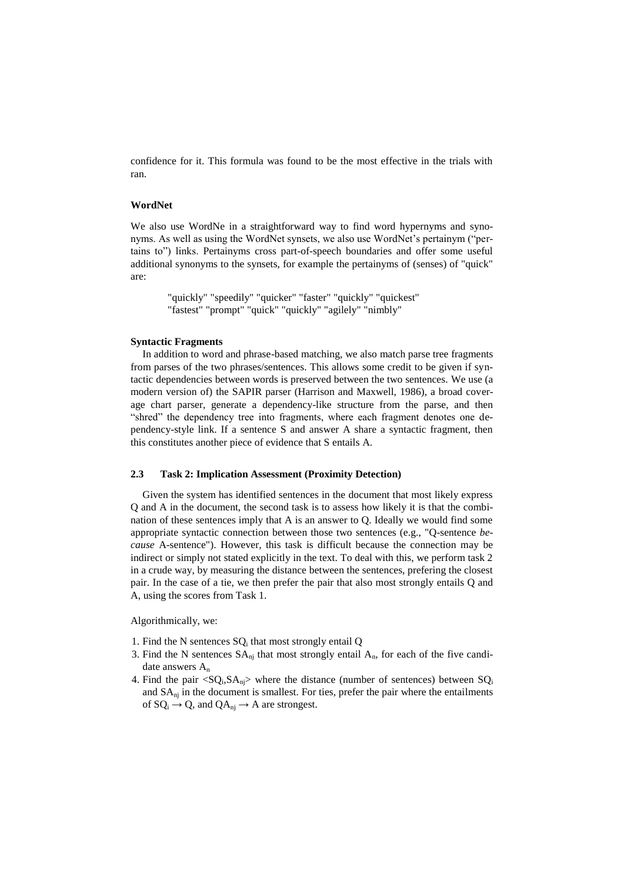confidence for it. This formula was found to be the most effective in the trials with ran.

#### **WordNet**

We also use WordNe in a straightforward way to find word hypernyms and synonyms. As well as using the WordNet synsets, we also use WordNet's pertainym ("pertains to") links. Pertainyms cross part-of-speech boundaries and offer some useful additional synonyms to the synsets, for example the pertainyms of (senses) of "quick" are:

> "quickly" "speedily" "quicker" "faster" "quickly" "quickest" "fastest" "prompt" "quick" "quickly" "agilely" "nimbly"

### **Syntactic Fragments**

In addition to word and phrase-based matching, we also match parse tree fragments from parses of the two phrases/sentences. This allows some credit to be given if syntactic dependencies between words is preserved between the two sentences. We use (a modern version of) the SAPIR parser (Harrison and Maxwell, 1986), a broad coverage chart parser, generate a dependency-like structure from the parse, and then "shred" the dependency tree into fragments, where each fragment denotes one dependency-style link. If a sentence S and answer A share a syntactic fragment, then this constitutes another piece of evidence that S entails A.

#### **2.3 Task 2: Implication Assessment (Proximity Detection)**

Given the system has identified sentences in the document that most likely express Q and A in the document, the second task is to assess how likely it is that the combination of these sentences imply that A is an answer to Q. Ideally we would find some appropriate syntactic connection between those two sentences (e.g., "Q-sentence *because* A-sentence"). However, this task is difficult because the connection may be indirect or simply not stated explicitly in the text. To deal with this, we perform task 2 in a crude way, by measuring the distance between the sentences, prefering the closest pair. In the case of a tie, we then prefer the pair that also most strongly entails Q and A, using the scores from Task 1.

Algorithmically, we:

- 1. Find the N sentences SQ<sub>i</sub> that most strongly entail Q
- 3. Find the N sentences  $SA_{ni}$  that most strongly entail  $A_n$ , for each of the five candidate answers A<sup>n</sup>
- 4. Find the pair  $\langle SQ_i, SA_{nj}\rangle$  where the distance (number of sentences) between  $SQ_i$ and SAnj in the document is smallest. For ties, prefer the pair where the entailments of  $SQ_i \rightarrow Q$ , and  $QA_{ni} \rightarrow A$  are strongest.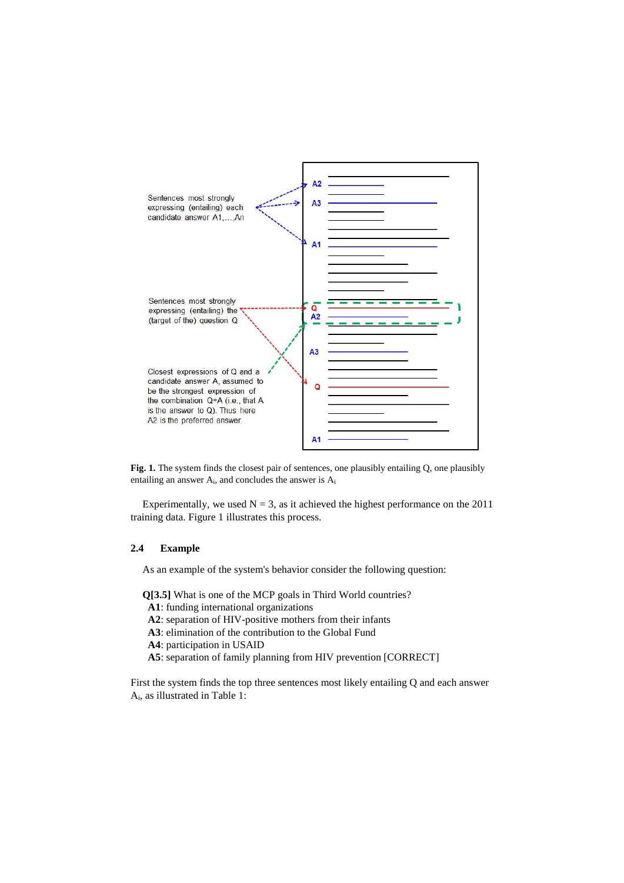

Fig. 1. The system finds the closest pair of sentences, one plausibly entailing Q, one plausibly entailing an answer  $A_i$ , and concludes the answer is  $A_i$ 

Experimentally, we used  $N = 3$ , as it achieved the highest performance on the 2011 training data. Figure 1 illustrates this process.

# **2.4 Example**

As an example of the system's behavior consider the following question:

**Q[3.5]** What is one of the MCP goals in Third World countries?

- **A1**: funding international organizations
- **A2**: separation of HIV-positive mothers from their infants
- **A3**: elimination of the contribution to the Global Fund
- **A4**: participation in USAID
- **A5**: separation of family planning from HIV prevention [CORRECT]

First the system finds the top three sentences most likely entailing Q and each answer Ai , as illustrated in Table 1: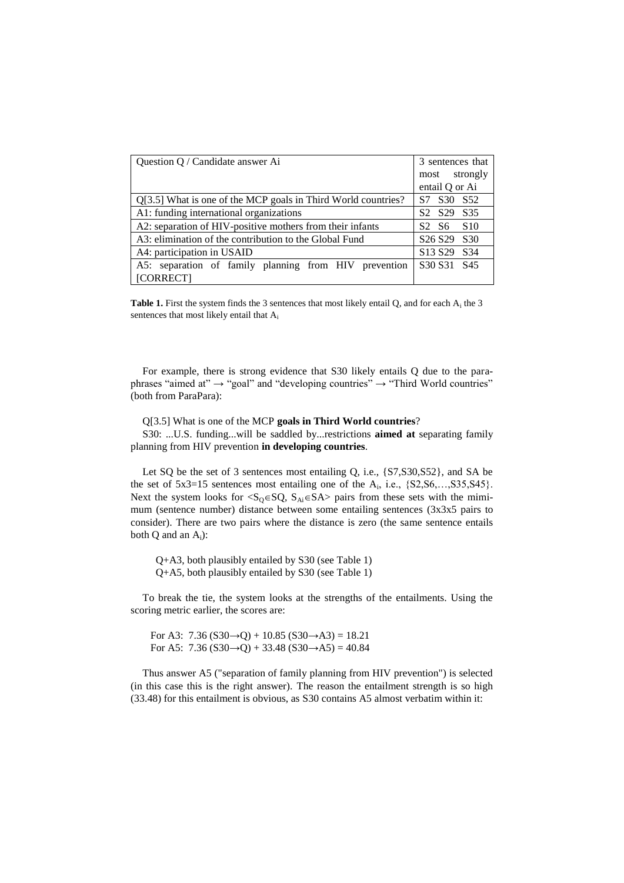| Question Q / Candidate answer Ai                              | 3 sentences that                                   |
|---------------------------------------------------------------|----------------------------------------------------|
|                                                               | most strongly                                      |
|                                                               | entail Q or Ai                                     |
| Q[3.5] What is one of the MCP goals in Third World countries? | S <sub>30</sub><br>S <sub>52</sub><br>S7           |
| A1: funding international organizations                       | S <sub>2</sub> S <sub>29</sub><br>S <sub>35</sub>  |
| A2: separation of HIV-positive mothers from their infants     | S <sub>10</sub><br>S2 S6                           |
| A3: elimination of the contribution to the Global Fund        | S <sub>26</sub> S <sub>29</sub><br>S <sub>30</sub> |
| A4: participation in USAID                                    | S <sub>13</sub> S <sub>29</sub><br>S <sub>34</sub> |
| A5: separation of family planning from HIV<br>prevention      | S <sub>30</sub> S <sub>31</sub><br>S <sub>45</sub> |
| [CORRECT]                                                     |                                                    |

Table 1. First the system finds the 3 sentences that most likely entail Q, and for each A<sub>i</sub> the 3 sentences that most likely entail that A<sup>i</sup>

For example, there is strong evidence that S30 likely entails Q due to the paraphrases "aimed at"  $\rightarrow$  "goal" and "developing countries"  $\rightarrow$  "Third World countries" (both from ParaPara):

Q[3.5] What is one of the MCP **goals in Third World countries**?

S30: ...U.S. funding...will be saddled by...restrictions **aimed at** separating family planning from HIV prevention **in developing countries**.

Let SQ be the set of 3 sentences most entailing Q, i.e., {S7,S30,S52}, and SA be the set of  $5x3=15$  sentences most entailing one of the  $A_i$ , i.e.,  $\{S2, S6, \ldots, S35, S45\}$ . Next the system looks for  $\langle S_{Q} \in SQ$ ,  $S_{Ai} \in S$ A $>$  pairs from these sets with the mimimum (sentence number) distance between some entailing sentences (3x3x5 pairs to consider). There are two pairs where the distance is zero (the same sentence entails both  $Q$  and an  $A_i$ ):

 Q+A3, both plausibly entailed by S30 (see Table 1) Q+A5, both plausibly entailed by S30 (see Table 1)

To break the tie, the system looks at the strengths of the entailments. Using the scoring metric earlier, the scores are:

For A3:  $7.36$  (S30 $\rightarrow$ Q) + 10.85 (S30 $\rightarrow$ A3) = 18.21 For A5:  $7.36$  (S30 $\rightarrow$ Q) + 33.48 (S30 $\rightarrow$ A5) = 40.84

Thus answer A5 ("separation of family planning from HIV prevention") is selected (in this case this is the right answer). The reason the entailment strength is so high (33.48) for this entailment is obvious, as S30 contains A5 almost verbatim within it: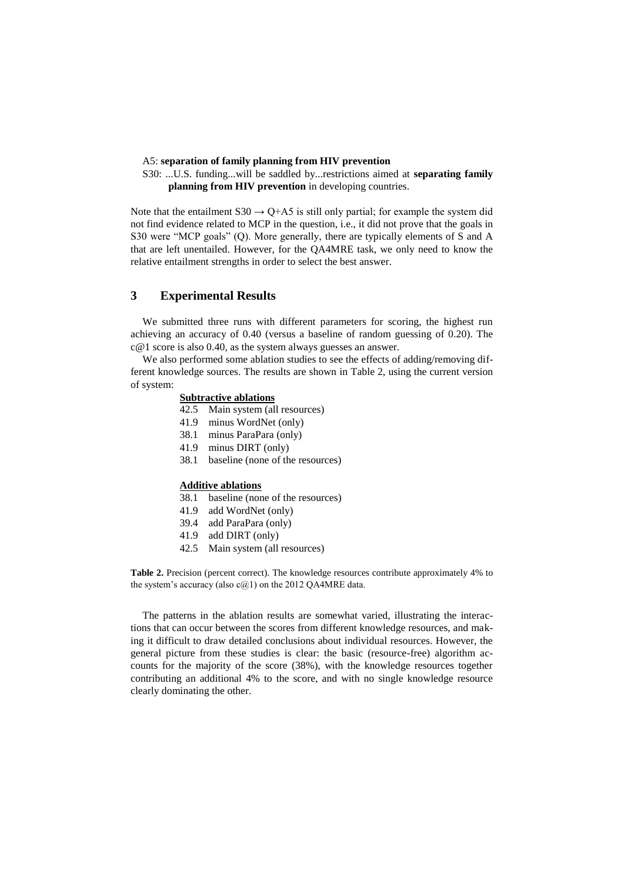#### A5: **separation of family planning from HIV prevention**

S30: ...U.S. funding...will be saddled by...restrictions aimed at **separating family planning from HIV prevention** in developing countries.

Note that the entailment  $S30 \rightarrow Q + A5$  is still only partial; for example the system did not find evidence related to MCP in the question, i.e., it did not prove that the goals in S30 were "MCP goals" (Q). More generally, there are typically elements of S and A that are left unentailed. However, for the QA4MRE task, we only need to know the relative entailment strengths in order to select the best answer.

# **3 Experimental Results**

We submitted three runs with different parameters for scoring, the highest run achieving an accuracy of 0.40 (versus a baseline of random guessing of 0.20). The c@1 score is also 0.40, as the system always guesses an answer.

We also performed some ablation studies to see the effects of adding/removing different knowledge sources. The results are shown in Table 2, using the current version of system:

### **Subtractive ablations**

- 42.5 Main system (all resources)
- 41.9 minus WordNet (only)
- 38.1 minus ParaPara (only)
- 41.9 minus DIRT (only)
- 38.1 baseline (none of the resources)

#### **Additive ablations**

- 38.1 baseline (none of the resources)
- 41.9 add WordNet (only)
- 39.4 add ParaPara (only)
- 41.9 add DIRT (only)
- 42.5 Main system (all resources)

**Table 2.** Precision (percent correct). The knowledge resources contribute approximately 4% to the system's accuracy (also  $c(a)$ 1) on the 2012 QA4MRE data.

The patterns in the ablation results are somewhat varied, illustrating the interactions that can occur between the scores from different knowledge resources, and making it difficult to draw detailed conclusions about individual resources. However, the general picture from these studies is clear: the basic (resource-free) algorithm accounts for the majority of the score (38%), with the knowledge resources together contributing an additional 4% to the score, and with no single knowledge resource clearly dominating the other.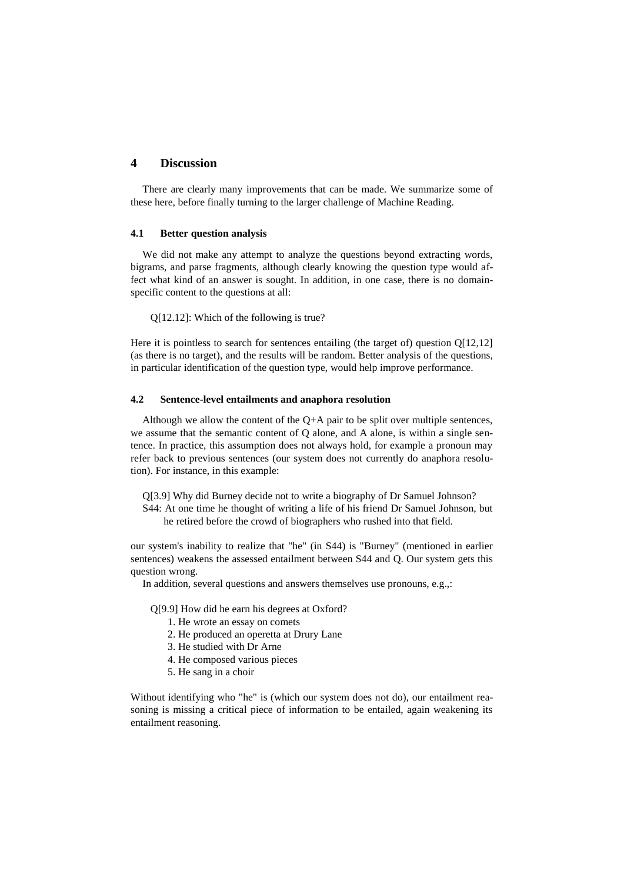# **4 Discussion**

There are clearly many improvements that can be made. We summarize some of these here, before finally turning to the larger challenge of Machine Reading.

### **4.1 Better question analysis**

We did not make any attempt to analyze the questions beyond extracting words, bigrams, and parse fragments, although clearly knowing the question type would affect what kind of an answer is sought. In addition, in one case, there is no domainspecific content to the questions at all:

Q[12.12]: Which of the following is true?

Here it is pointless to search for sentences entailing (the target of) question Q[12,12] (as there is no target), and the results will be random. Better analysis of the questions, in particular identification of the question type, would help improve performance.

#### **4.2 Sentence-level entailments and anaphora resolution**

Although we allow the content of the  $O+A$  pair to be split over multiple sentences, we assume that the semantic content of Q alone, and A alone, is within a single sentence. In practice, this assumption does not always hold, for example a pronoun may refer back to previous sentences (our system does not currently do anaphora resolution). For instance, in this example:

Q[3.9] Why did Burney decide not to write a biography of Dr Samuel Johnson?

S44: At one time he thought of writing a life of his friend Dr Samuel Johnson, but he retired before the crowd of biographers who rushed into that field.

our system's inability to realize that "he" (in S44) is "Burney" (mentioned in earlier sentences) weakens the assessed entailment between S44 and Q. Our system gets this question wrong.

In addition, several questions and answers themselves use pronouns, e.g.,:

Q[9.9] How did he earn his degrees at Oxford?

- 1. He wrote an essay on comets
- 2. He produced an operetta at Drury Lane
- 3. He studied with Dr Arne
- 4. He composed various pieces
- 5. He sang in a choir

Without identifying who "he" is (which our system does not do), our entailment reasoning is missing a critical piece of information to be entailed, again weakening its entailment reasoning.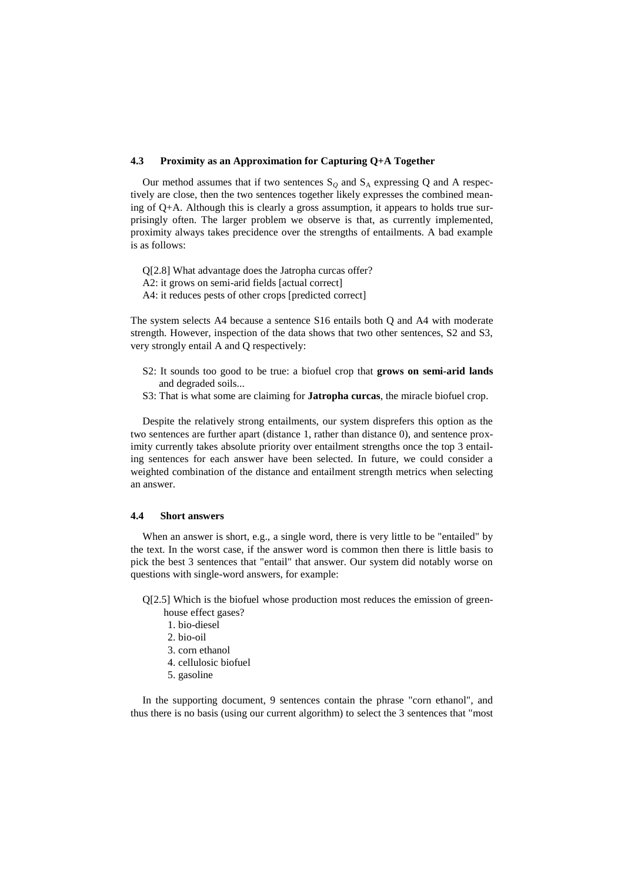### **4.3 Proximity as an Approximation for Capturing Q+A Together**

Our method assumes that if two sentences  $S_Q$  and  $S_A$  expressing Q and A respectively are close, then the two sentences together likely expresses the combined meaning of Q+A. Although this is clearly a gross assumption, it appears to holds true surprisingly often. The larger problem we observe is that, as currently implemented, proximity always takes precidence over the strengths of entailments. A bad example is as follows:

Q[2.8] What advantage does the Jatropha curcas offer? A2: it grows on semi-arid fields [actual correct] A4: it reduces pests of other crops [predicted correct]

The system selects A4 because a sentence S16 entails both Q and A4 with moderate strength. However, inspection of the data shows that two other sentences, S2 and S3, very strongly entail A and Q respectively:

- S2: It sounds too good to be true: a biofuel crop that **grows on semi-arid lands** and degraded soils...
- S3: That is what some are claiming for **Jatropha curcas**, the miracle biofuel crop.

Despite the relatively strong entailments, our system disprefers this option as the two sentences are further apart (distance 1, rather than distance 0), and sentence proximity currently takes absolute priority over entailment strengths once the top 3 entailing sentences for each answer have been selected. In future, we could consider a weighted combination of the distance and entailment strength metrics when selecting an answer.

#### **4.4 Short answers**

When an answer is short, e.g., a single word, there is very little to be "entailed" by the text. In the worst case, if the answer word is common then there is little basis to pick the best 3 sentences that "entail" that answer. Our system did notably worse on questions with single-word answers, for example:

Q[2.5] Which is the biofuel whose production most reduces the emission of green-

- house effect gases?
- 1. bio-diesel
- 2. bio-oil
- 3. corn ethanol
- 4. cellulosic biofuel
- 5. gasoline

In the supporting document, 9 sentences contain the phrase "corn ethanol", and thus there is no basis (using our current algorithm) to select the 3 sentences that "most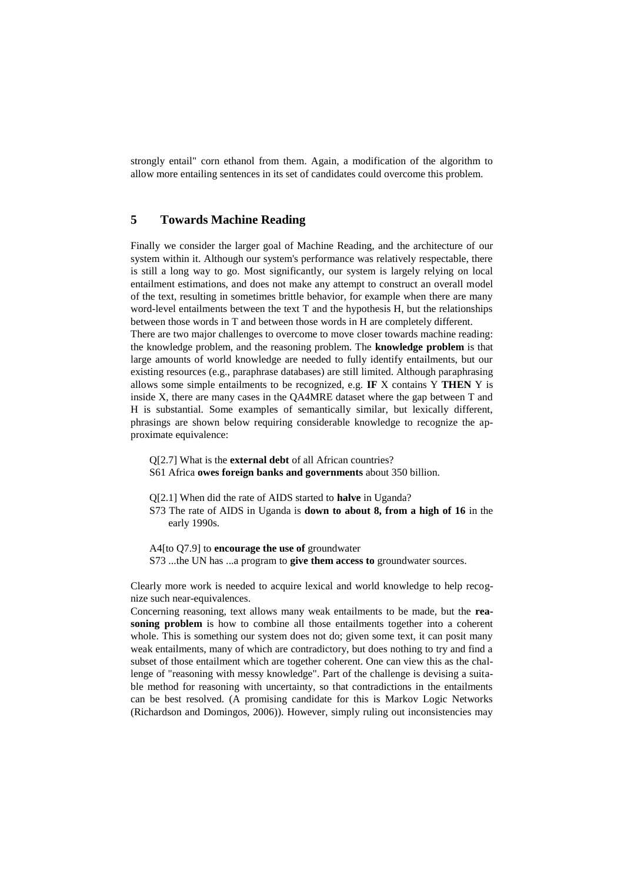strongly entail" corn ethanol from them. Again, a modification of the algorithm to allow more entailing sentences in its set of candidates could overcome this problem.

# **5 Towards Machine Reading**

Finally we consider the larger goal of Machine Reading, and the architecture of our system within it. Although our system's performance was relatively respectable, there is still a long way to go. Most significantly, our system is largely relying on local entailment estimations, and does not make any attempt to construct an overall model of the text, resulting in sometimes brittle behavior, for example when there are many word-level entailments between the text T and the hypothesis H, but the relationships between those words in T and between those words in H are completely different.

There are two major challenges to overcome to move closer towards machine reading: the knowledge problem, and the reasoning problem. The **knowledge problem** is that large amounts of world knowledge are needed to fully identify entailments, but our existing resources (e.g., paraphrase databases) are still limited. Although paraphrasing allows some simple entailments to be recognized, e.g. **IF** X contains Y **THEN** Y is inside X, there are many cases in the QA4MRE dataset where the gap between T and H is substantial. Some examples of semantically similar, but lexically different, phrasings are shown below requiring considerable knowledge to recognize the approximate equivalence:

Q[2.7] What is the **external debt** of all African countries?

- S61 Africa **owes foreign banks and governments** about 350 billion.
- Q[2.1] When did the rate of AIDS started to **halve** in Uganda?
- S73 The rate of AIDS in Uganda is **down to about 8, from a high of 16** in the early 1990s.

A4[to Q7.9] to **encourage the use of** groundwater S73 ...the UN has ...a program to **give them access to** groundwater sources.

Clearly more work is needed to acquire lexical and world knowledge to help recognize such near-equivalences.

Concerning reasoning, text allows many weak entailments to be made, but the **reasoning problem** is how to combine all those entailments together into a coherent whole. This is something our system does not do; given some text, it can posit many weak entailments, many of which are contradictory, but does nothing to try and find a subset of those entailment which are together coherent. One can view this as the challenge of "reasoning with messy knowledge". Part of the challenge is devising a suitable method for reasoning with uncertainty, so that contradictions in the entailments can be best resolved. (A promising candidate for this is Markov Logic Networks (Richardson and Domingos, 2006)). However, simply ruling out inconsistencies may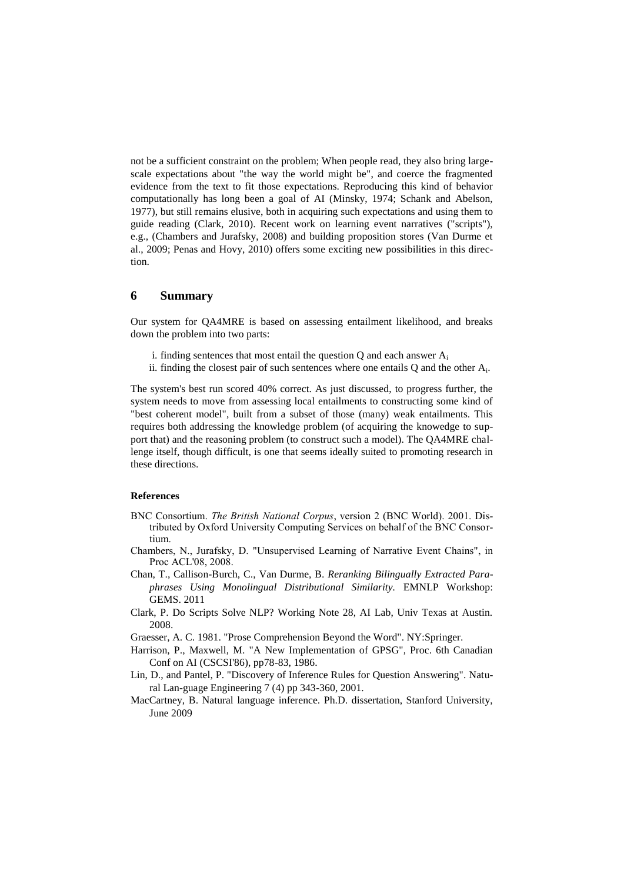not be a sufficient constraint on the problem; When people read, they also bring largescale expectations about "the way the world might be", and coerce the fragmented evidence from the text to fit those expectations. Reproducing this kind of behavior computationally has long been a goal of AI (Minsky, 1974; Schank and Abelson, 1977), but still remains elusive, both in acquiring such expectations and using them to guide reading (Clark, 2010). Recent work on learning event narratives ("scripts"), e.g., (Chambers and Jurafsky, 2008) and building proposition stores (Van Durme et al., 2009; Penas and Hovy, 2010) offers some exciting new possibilities in this direction.

## **6 Summary**

Our system for QA4MRE is based on assessing entailment likelihood, and breaks down the problem into two parts:

- i. finding sentences that most entail the question  $Q$  and each answer  $A_i$
- ii. finding the closest pair of such sentences where one entails  $Q$  and the other  $A_i$ .

The system's best run scored 40% correct. As just discussed, to progress further, the system needs to move from assessing local entailments to constructing some kind of "best coherent model", built from a subset of those (many) weak entailments. This requires both addressing the knowledge problem (of acquiring the knowedge to support that) and the reasoning problem (to construct such a model). The QA4MRE challenge itself, though difficult, is one that seems ideally suited to promoting research in these directions.

### **References**

- BNC Consortium. *The British National Corpus*, version 2 (BNC World). 2001. Distributed by Oxford University Computing Services on behalf of the BNC Consortium.
- Chambers, N., Jurafsky, D. "Unsupervised Learning of Narrative Event Chains", in Proc ACL'08, 2008.
- Chan, T., Callison-Burch, C., Van Durme, B. *Reranking Bilingually Extracted Paraphrases Using Monolingual Distributional Similarity.* EMNLP Workshop: GEMS. 2011
- Clark, P. Do Scripts Solve NLP? Working Note 28, AI Lab, Univ Texas at Austin. 2008.
- Graesser, A. C. 1981. "Prose Comprehension Beyond the Word". NY:Springer.
- Harrison, P., Maxwell, M. "A New Implementation of GPSG", Proc. 6th Canadian Conf on AI (CSCSI'86), pp78-83, 1986.
- Lin, D., and Pantel, P. "Discovery of Inference Rules for Question Answering". Natural Lan-guage Engineering 7 (4) pp 343-360, 2001.
- MacCartney, B. Natural language inference. Ph.D. dissertation, Stanford University, June 2009